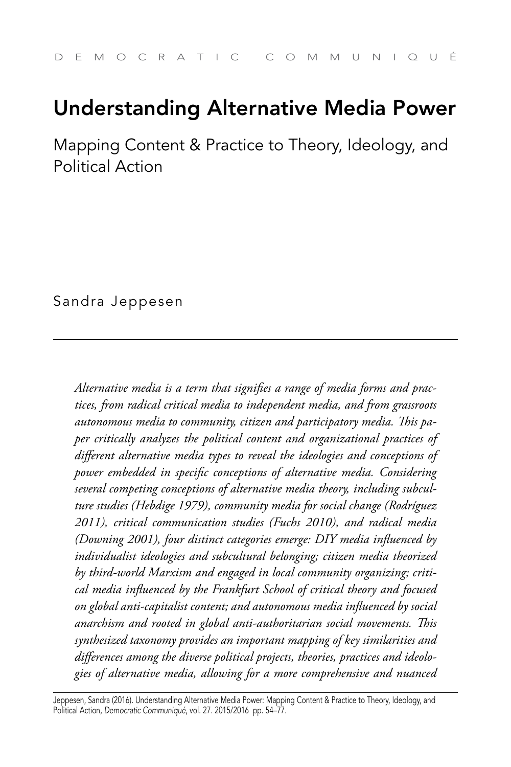# Understanding Alternative Media Power

Mapping Content & Practice to Theory, Ideology, and Political Action

Sandra Jeppesen

*Alternative media is a term that signifies a range of media forms and practices, from radical critical media to independent media, and from grassroots autonomous media to community, citizen and participatory media. This paper critically analyzes the political content and organizational practices of different alternative media types to reveal the ideologies and conceptions of power embedded in specific conceptions of alternative media. Considering several competing conceptions of alternative media theory, including subculture studies (Hebdige 1979), community media for social change (Rodríguez 2011), critical communication studies (Fuchs 2010), and radical media (Downing 2001), four distinct categories emerge: DIY media influenced by individualist ideologies and subcultural belonging; citizen media theorized by third-world Marxism and engaged in local community organizing; critical media influenced by the Frankfurt School of critical theory and focused on global anti-capitalist content; and autonomous media influenced by social anarchism and rooted in global anti-authoritarian social movements. This synthesized taxonomy provides an important mapping of key similarities and differences among the diverse political projects, theories, practices and ideologies of alternative media, allowing for a more comprehensive and nuanced* 

Jeppesen, Sandra (2016). Understanding Alternative Media Power: Mapping Content & Practice to Theory, Ideology, and Political Action, *Democratic Communiqué*, vol. 27. 2015/2016 pp. 54–77.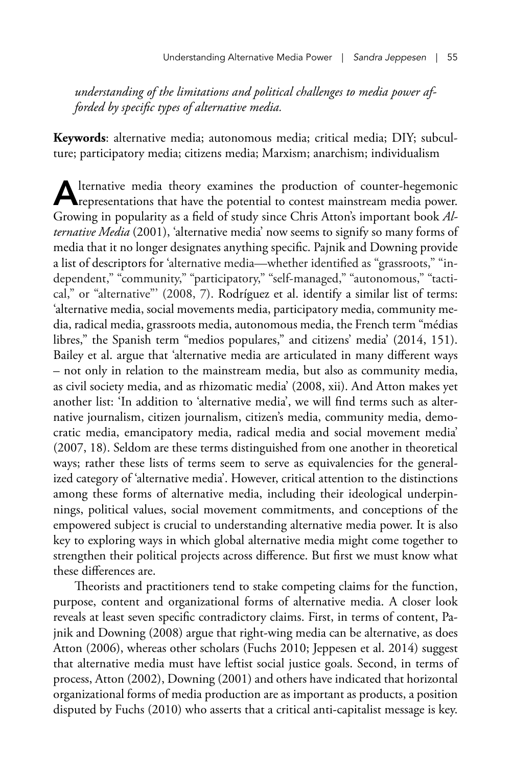*understanding of the limitations and political challenges to media power afforded by specific types of alternative media.* 

**Keywords**: alternative media; autonomous media; critical media; DIY; subculture; participatory media; citizens media; Marxism; anarchism; individualism

Alternative media theory examines the production of counter-hegemonic representations that have the potential to contest mainstream media power. Growing in popularity as a field of study since Chris Atton's important book *Alternative Media* (2001), 'alternative media' now seems to signify so many forms of media that it no longer designates anything specific. Pajnik and Downing provide a list of descriptors for 'alternative media—whether identified as "grassroots," "independent," "community," "participatory," "self-managed," "autonomous," "tactical," or "alternative"' (2008, 7). Rodríguez et al. identify a similar list of terms: 'alternative media, social movements media, participatory media, community media, radical media, grassroots media, autonomous media, the French term "médias libres," the Spanish term "medios populares," and citizens' media' (2014, 151). Bailey et al. argue that 'alternative media are articulated in many different ways – not only in relation to the mainstream media, but also as community media, as civil society media, and as rhizomatic media' (2008, xii). And Atton makes yet another list: 'In addition to 'alternative media', we will find terms such as alternative journalism, citizen journalism, citizen's media, community media, democratic media, emancipatory media, radical media and social movement media' (2007, 18). Seldom are these terms distinguished from one another in theoretical ways; rather these lists of terms seem to serve as equivalencies for the generalized category of 'alternative media'. However, critical attention to the distinctions among these forms of alternative media, including their ideological underpinnings, political values, social movement commitments, and conceptions of the empowered subject is crucial to understanding alternative media power. It is also key to exploring ways in which global alternative media might come together to strengthen their political projects across difference. But first we must know what these differences are.

Theorists and practitioners tend to stake competing claims for the function, purpose, content and organizational forms of alternative media. A closer look reveals at least seven specific contradictory claims. First, in terms of content, Pajnik and Downing (2008) argue that right-wing media can be alternative, as does Atton (2006), whereas other scholars (Fuchs 2010; Jeppesen et al. 2014) suggest that alternative media must have leftist social justice goals. Second, in terms of process, Atton (2002), Downing (2001) and others have indicated that horizontal organizational forms of media production are as important as products, a position disputed by Fuchs (2010) who asserts that a critical anti-capitalist message is key.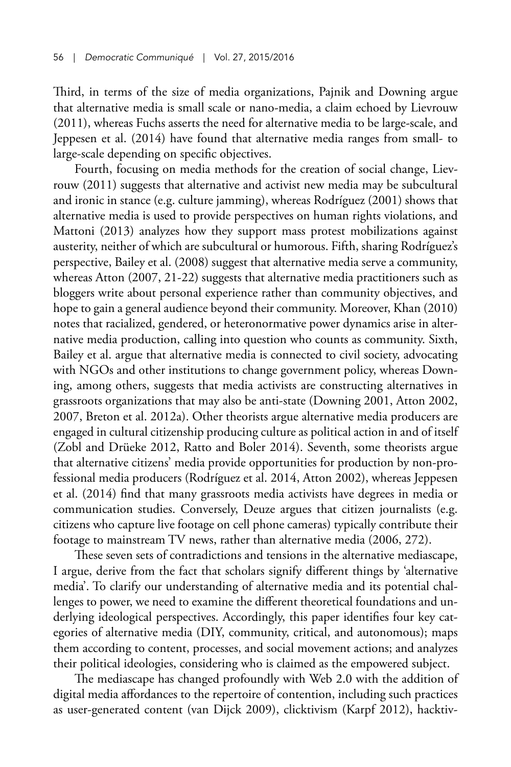Third, in terms of the size of media organizations, Pajnik and Downing argue that alternative media is small scale or nano-media, a claim echoed by Lievrouw (2011), whereas Fuchs asserts the need for alternative media to be large-scale, and Jeppesen et al. (2014) have found that alternative media ranges from small- to large-scale depending on specific objectives.

Fourth, focusing on media methods for the creation of social change, Lievrouw (2011) suggests that alternative and activist new media may be subcultural and ironic in stance (e.g. culture jamming), whereas Rodríguez (2001) shows that alternative media is used to provide perspectives on human rights violations, and Mattoni (2013) analyzes how they support mass protest mobilizations against austerity, neither of which are subcultural or humorous. Fifth, sharing Rodríguez's perspective, Bailey et al. (2008) suggest that alternative media serve a community, whereas Atton (2007, 21-22) suggests that alternative media practitioners such as bloggers write about personal experience rather than community objectives, and hope to gain a general audience beyond their community. Moreover, Khan (2010) notes that racialized, gendered, or heteronormative power dynamics arise in alternative media production, calling into question who counts as community. Sixth, Bailey et al. argue that alternative media is connected to civil society, advocating with NGOs and other institutions to change government policy, whereas Downing, among others, suggests that media activists are constructing alternatives in grassroots organizations that may also be anti-state (Downing 2001, Atton 2002, 2007, Breton et al. 2012a). Other theorists argue alternative media producers are engaged in cultural citizenship producing culture as political action in and of itself (Zobl and Drüeke 2012, Ratto and Boler 2014). Seventh, some theorists argue that alternative citizens' media provide opportunities for production by non-professional media producers (Rodríguez et al. 2014, Atton 2002), whereas Jeppesen et al. (2014) find that many grassroots media activists have degrees in media or communication studies. Conversely, Deuze argues that citizen journalists (e.g. citizens who capture live footage on cell phone cameras) typically contribute their footage to mainstream TV news, rather than alternative media (2006, 272).

These seven sets of contradictions and tensions in the alternative mediascape, I argue, derive from the fact that scholars signify different things by 'alternative media'. To clarify our understanding of alternative media and its potential challenges to power, we need to examine the different theoretical foundations and underlying ideological perspectives. Accordingly, this paper identifies four key categories of alternative media (DIY, community, critical, and autonomous); maps them according to content, processes, and social movement actions; and analyzes their political ideologies, considering who is claimed as the empowered subject.

The mediascape has changed profoundly with Web 2.0 with the addition of digital media affordances to the repertoire of contention, including such practices as user-generated content (van Dijck 2009), clicktivism (Karpf 2012), hacktiv-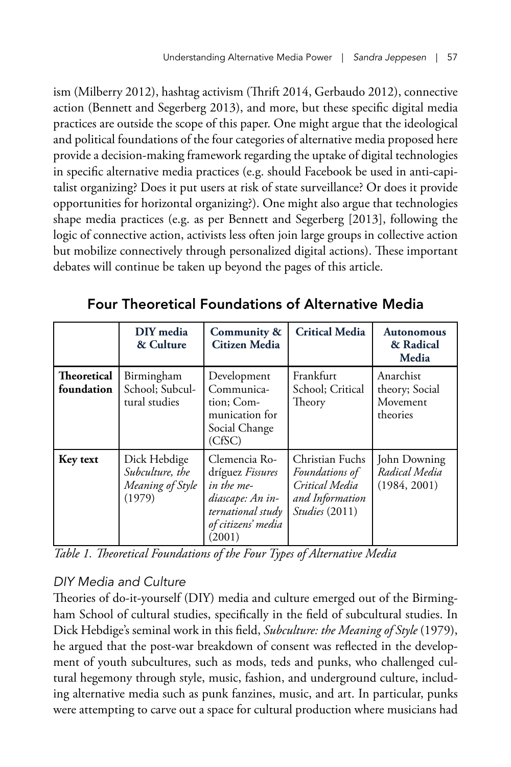ism (Milberry 2012), hashtag activism (Thrift 2014, Gerbaudo 2012), connective action (Bennett and Segerberg 2013), and more, but these specific digital media practices are outside the scope of this paper. One might argue that the ideological and political foundations of the four categories of alternative media proposed here provide a decision-making framework regarding the uptake of digital technologies in specific alternative media practices (e.g. should Facebook be used in anti-capitalist organizing? Does it put users at risk of state surveillance? Or does it provide opportunities for horizontal organizing?). One might also argue that technologies shape media practices (e.g. as per Bennett and Segerberg [2013], following the logic of connective action, activists less often join large groups in collective action but mobilize connectively through personalized digital actions). These important debates will continue be taken up beyond the pages of this article.

|                                  | DIY media<br>& Culture                                        | Community &<br><b>Citizen Media</b>                                                                                      | <b>Critical Media</b>                                                                           | <b>Autonomous</b><br>& Radical<br>Media             |
|----------------------------------|---------------------------------------------------------------|--------------------------------------------------------------------------------------------------------------------------|-------------------------------------------------------------------------------------------------|-----------------------------------------------------|
| <b>Theoretical</b><br>foundation | Birmingham<br>School; Subcul-<br>tural studies                | Development<br>Communica-<br>tion; Com-<br>munication for<br>Social Change<br>(CfSC)                                     | Frankfurt<br>School; Critical<br>Theory                                                         | Anarchist<br>theory; Social<br>Movement<br>theories |
| Key text                         | Dick Hebdige<br>Subculture, the<br>Meaning of Style<br>(1979) | Clemencia Ro-<br>dríguez Fissures<br>in the me-<br>diascape: An in-<br>ternational study<br>of citizens' media<br>(2001) | Christian Fuchs<br><i>Foundations</i> of<br>Critical Media<br>and Information<br>Studies (2011) | John Downing<br>Radical Media<br>(1984, 2001)       |

Four Theoretical Foundations of Alternative Media

*Table 1. Theoretical Foundations of the Four Types of Alternative Media*

# *DIY Media and Culture*

Theories of do-it-yourself (DIY) media and culture emerged out of the Birmingham School of cultural studies, specifically in the field of subcultural studies. In Dick Hebdige's seminal work in this field, *Subculture: the Meaning of Style* (1979), he argued that the post-war breakdown of consent was reflected in the development of youth subcultures, such as mods, teds and punks, who challenged cultural hegemony through style, music, fashion, and underground culture, including alternative media such as punk fanzines, music, and art. In particular, punks were attempting to carve out a space for cultural production where musicians had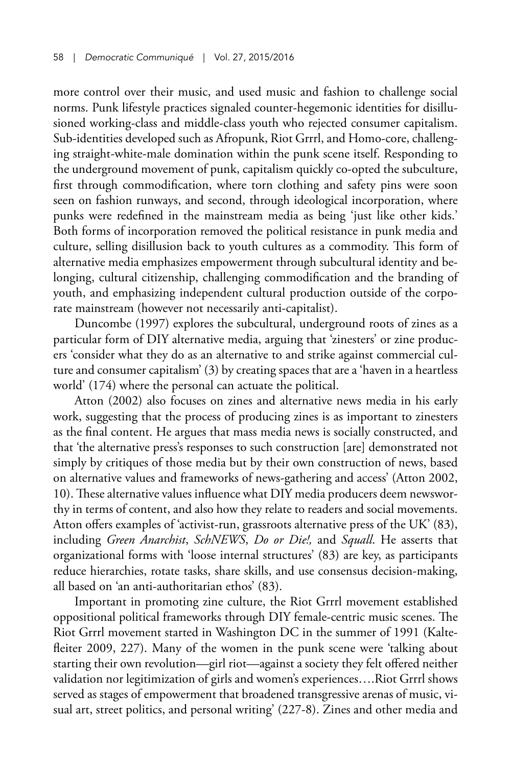more control over their music, and used music and fashion to challenge social norms. Punk lifestyle practices signaled counter-hegemonic identities for disillusioned working-class and middle-class youth who rejected consumer capitalism. Sub-identities developed such as Afropunk, Riot Grrrl, and Homo-core, challenging straight-white-male domination within the punk scene itself. Responding to the underground movement of punk, capitalism quickly co-opted the subculture, first through commodification, where torn clothing and safety pins were soon seen on fashion runways, and second, through ideological incorporation, where punks were redefined in the mainstream media as being 'just like other kids.' Both forms of incorporation removed the political resistance in punk media and culture, selling disillusion back to youth cultures as a commodity. This form of alternative media emphasizes empowerment through subcultural identity and belonging, cultural citizenship, challenging commodification and the branding of youth, and emphasizing independent cultural production outside of the corporate mainstream (however not necessarily anti-capitalist).

Duncombe (1997) explores the subcultural, underground roots of zines as a particular form of DIY alternative media, arguing that 'zinesters' or zine producers 'consider what they do as an alternative to and strike against commercial culture and consumer capitalism' (3) by creating spaces that are a 'haven in a heartless world' (174) where the personal can actuate the political.

Atton (2002) also focuses on zines and alternative news media in his early work, suggesting that the process of producing zines is as important to zinesters as the final content. He argues that mass media news is socially constructed, and that 'the alternative press's responses to such construction [are] demonstrated not simply by critiques of those media but by their own construction of news, based on alternative values and frameworks of news-gathering and access' (Atton 2002, 10). These alternative values influence what DIY media producers deem newsworthy in terms of content, and also how they relate to readers and social movements. Atton offers examples of 'activist-run, grassroots alternative press of the UK' (83), including *Green Anarchist*, *SchNEWS*, *Do or Die!,* and *Squall*. He asserts that organizational forms with 'loose internal structures' (83) are key, as participants reduce hierarchies, rotate tasks, share skills, and use consensus decision-making, all based on 'an anti-authoritarian ethos' (83).

Important in promoting zine culture, the Riot Grrrl movement established oppositional political frameworks through DIY female-centric music scenes. The Riot Grrrl movement started in Washington DC in the summer of 1991 (Kaltefleiter 2009, 227). Many of the women in the punk scene were 'talking about starting their own revolution—girl riot—against a society they felt offered neither validation nor legitimization of girls and women's experiences….Riot Grrrl shows served as stages of empowerment that broadened transgressive arenas of music, visual art, street politics, and personal writing' (227-8). Zines and other media and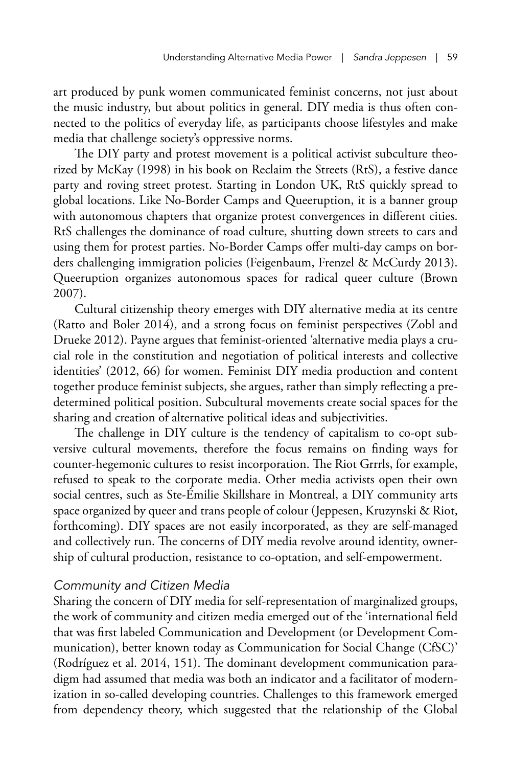art produced by punk women communicated feminist concerns, not just about the music industry, but about politics in general. DIY media is thus often connected to the politics of everyday life, as participants choose lifestyles and make media that challenge society's oppressive norms.

The DIY party and protest movement is a political activist subculture theorized by McKay (1998) in his book on Reclaim the Streets (RtS), a festive dance party and roving street protest. Starting in London UK, RtS quickly spread to global locations. Like No-Border Camps and Queeruption, it is a banner group with autonomous chapters that organize protest convergences in different cities. RtS challenges the dominance of road culture, shutting down streets to cars and using them for protest parties. No-Border Camps offer multi-day camps on borders challenging immigration policies (Feigenbaum, Frenzel & McCurdy 2013). Queeruption organizes autonomous spaces for radical queer culture (Brown 2007).

Cultural citizenship theory emerges with DIY alternative media at its centre (Ratto and Boler 2014), and a strong focus on feminist perspectives (Zobl and Drueke 2012). Payne argues that feminist-oriented 'alternative media plays a crucial role in the constitution and negotiation of political interests and collective identities' (2012, 66) for women. Feminist DIY media production and content together produce feminist subjects, she argues, rather than simply reflecting a predetermined political position. Subcultural movements create social spaces for the sharing and creation of alternative political ideas and subjectivities.

The challenge in DIY culture is the tendency of capitalism to co-opt subversive cultural movements, therefore the focus remains on finding ways for counter-hegemonic cultures to resist incorporation. The Riot Grrrls, for example, refused to speak to the corporate media. Other media activists open their own social centres, such as Ste-Émilie Skillshare in Montreal, a DIY community arts space organized by queer and trans people of colour (Jeppesen, Kruzynski & Riot, forthcoming). DIY spaces are not easily incorporated, as they are self-managed and collectively run. The concerns of DIY media revolve around identity, ownership of cultural production, resistance to co-optation, and self-empowerment.

# *Community and Citizen Media*

Sharing the concern of DIY media for self-representation of marginalized groups, the work of community and citizen media emerged out of the 'international field that was first labeled Communication and Development (or Development Communication), better known today as Communication for Social Change (CfSC)' (Rodríguez et al. 2014, 151). The dominant development communication paradigm had assumed that media was both an indicator and a facilitator of modernization in so-called developing countries. Challenges to this framework emerged from dependency theory, which suggested that the relationship of the Global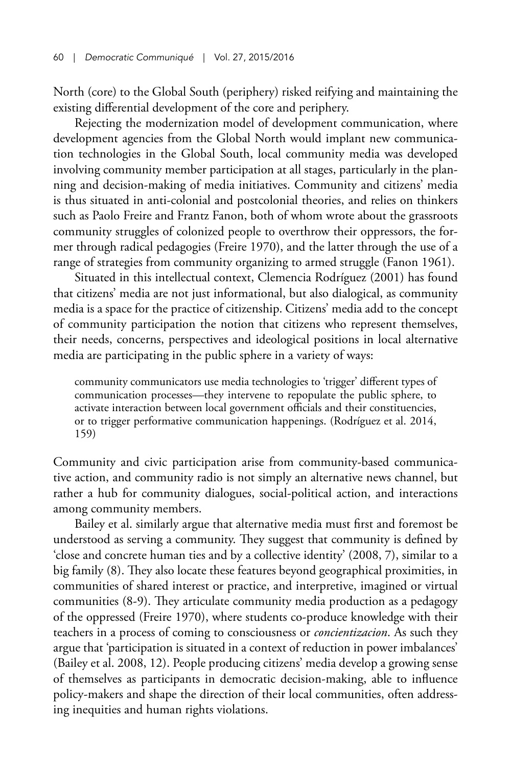North (core) to the Global South (periphery) risked reifying and maintaining the existing differential development of the core and periphery.

Rejecting the modernization model of development communication, where development agencies from the Global North would implant new communication technologies in the Global South, local community media was developed involving community member participation at all stages, particularly in the planning and decision-making of media initiatives. Community and citizens' media is thus situated in anti-colonial and postcolonial theories, and relies on thinkers such as Paolo Freire and Frantz Fanon, both of whom wrote about the grassroots community struggles of colonized people to overthrow their oppressors, the former through radical pedagogies (Freire 1970), and the latter through the use of a range of strategies from community organizing to armed struggle (Fanon 1961).

Situated in this intellectual context, Clemencia Rodríguez (2001) has found that citizens' media are not just informational, but also dialogical, as community media is a space for the practice of citizenship. Citizens' media add to the concept of community participation the notion that citizens who represent themselves, their needs, concerns, perspectives and ideological positions in local alternative media are participating in the public sphere in a variety of ways:

community communicators use media technologies to 'trigger' different types of communication processes—they intervene to repopulate the public sphere, to activate interaction between local government officials and their constituencies, or to trigger performative communication happenings. (Rodríguez et al. 2014, 159)

Community and civic participation arise from community-based communicative action, and community radio is not simply an alternative news channel, but rather a hub for community dialogues, social-political action, and interactions among community members.

Bailey et al. similarly argue that alternative media must first and foremost be understood as serving a community. They suggest that community is defined by 'close and concrete human ties and by a collective identity' (2008, 7), similar to a big family (8). They also locate these features beyond geographical proximities, in communities of shared interest or practice, and interpretive, imagined or virtual communities (8-9). They articulate community media production as a pedagogy of the oppressed (Freire 1970), where students co-produce knowledge with their teachers in a process of coming to consciousness or *concientizacion*. As such they argue that 'participation is situated in a context of reduction in power imbalances' (Bailey et al. 2008, 12). People producing citizens' media develop a growing sense of themselves as participants in democratic decision-making, able to influence policy-makers and shape the direction of their local communities, often addressing inequities and human rights violations.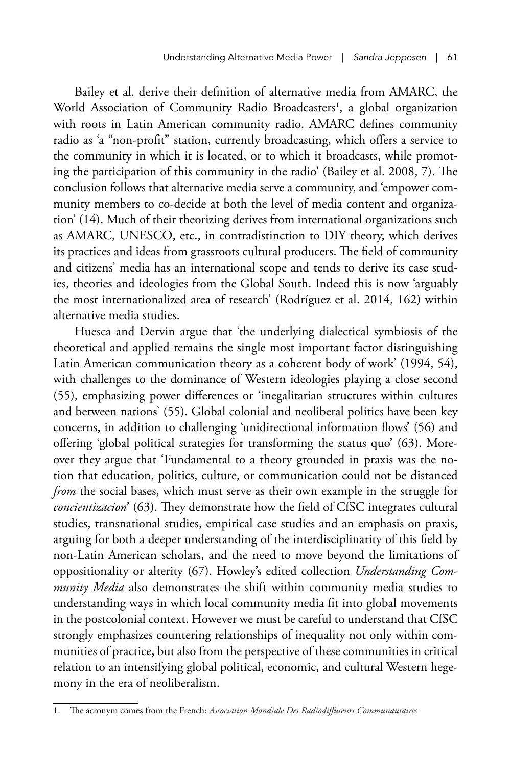Bailey et al. derive their definition of alternative media from AMARC, the World Association of Community Radio Broadcasters<sup>1</sup>, a global organization with roots in Latin American community radio. AMARC defines community radio as 'a "non-profit" station, currently broadcasting, which offers a service to the community in which it is located, or to which it broadcasts, while promoting the participation of this community in the radio' (Bailey et al. 2008, 7). The conclusion follows that alternative media serve a community, and 'empower community members to co-decide at both the level of media content and organization' (14). Much of their theorizing derives from international organizations such as AMARC, UNESCO, etc., in contradistinction to DIY theory, which derives its practices and ideas from grassroots cultural producers. The field of community and citizens' media has an international scope and tends to derive its case studies, theories and ideologies from the Global South. Indeed this is now 'arguably the most internationalized area of research' (Rodríguez et al. 2014, 162) within alternative media studies.

Huesca and Dervin argue that 'the underlying dialectical symbiosis of the theoretical and applied remains the single most important factor distinguishing Latin American communication theory as a coherent body of work' (1994, 54), with challenges to the dominance of Western ideologies playing a close second (55), emphasizing power differences or 'inegalitarian structures within cultures and between nations' (55). Global colonial and neoliberal politics have been key concerns, in addition to challenging 'unidirectional information flows' (56) and offering 'global political strategies for transforming the status quo' (63). Moreover they argue that 'Fundamental to a theory grounded in praxis was the notion that education, politics, culture, or communication could not be distanced *from* the social bases, which must serve as their own example in the struggle for *concientizacion*' (63). They demonstrate how the field of CfSC integrates cultural studies, transnational studies, empirical case studies and an emphasis on praxis, arguing for both a deeper understanding of the interdisciplinarity of this field by non-Latin American scholars, and the need to move beyond the limitations of oppositionality or alterity (67). Howley's edited collection *Understanding Community Media* also demonstrates the shift within community media studies to understanding ways in which local community media fit into global movements in the postcolonial context. However we must be careful to understand that CfSC strongly emphasizes countering relationships of inequality not only within communities of practice, but also from the perspective of these communities in critical relation to an intensifying global political, economic, and cultural Western hegemony in the era of neoliberalism.

<sup>1.</sup> The acronym comes from the French: *Association Mondiale Des Radiodiffuseurs Communautaires*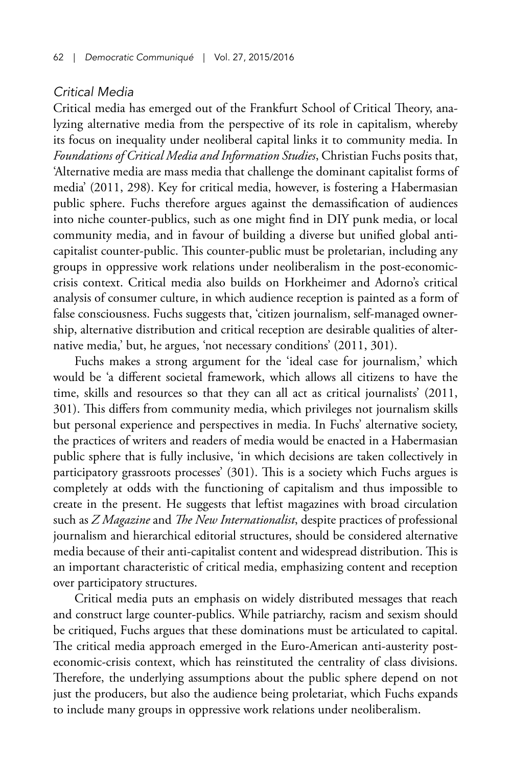## *Critical Media*

Critical media has emerged out of the Frankfurt School of Critical Theory, analyzing alternative media from the perspective of its role in capitalism, whereby its focus on inequality under neoliberal capital links it to community media. In *Foundations of Critical Media and Information Studies*, Christian Fuchs posits that, 'Alternative media are mass media that challenge the dominant capitalist forms of media' (2011, 298). Key for critical media, however, is fostering a Habermasian public sphere. Fuchs therefore argues against the demassification of audiences into niche counter-publics, such as one might find in DIY punk media, or local community media, and in favour of building a diverse but unified global anticapitalist counter-public. This counter-public must be proletarian, including any groups in oppressive work relations under neoliberalism in the post-economiccrisis context. Critical media also builds on Horkheimer and Adorno's critical analysis of consumer culture, in which audience reception is painted as a form of false consciousness. Fuchs suggests that, 'citizen journalism, self-managed ownership, alternative distribution and critical reception are desirable qualities of alternative media,' but, he argues, 'not necessary conditions' (2011, 301).

Fuchs makes a strong argument for the 'ideal case for journalism,' which would be 'a different societal framework, which allows all citizens to have the time, skills and resources so that they can all act as critical journalists' (2011, 301). This differs from community media, which privileges not journalism skills but personal experience and perspectives in media. In Fuchs' alternative society, the practices of writers and readers of media would be enacted in a Habermasian public sphere that is fully inclusive, 'in which decisions are taken collectively in participatory grassroots processes' (301). This is a society which Fuchs argues is completely at odds with the functioning of capitalism and thus impossible to create in the present. He suggests that leftist magazines with broad circulation such as *Z Magazine* and *The New Internationalist*, despite practices of professional journalism and hierarchical editorial structures, should be considered alternative media because of their anti-capitalist content and widespread distribution. This is an important characteristic of critical media, emphasizing content and reception over participatory structures.

Critical media puts an emphasis on widely distributed messages that reach and construct large counter-publics. While patriarchy, racism and sexism should be critiqued, Fuchs argues that these dominations must be articulated to capital. The critical media approach emerged in the Euro-American anti-austerity posteconomic-crisis context, which has reinstituted the centrality of class divisions. Therefore, the underlying assumptions about the public sphere depend on not just the producers, but also the audience being proletariat, which Fuchs expands to include many groups in oppressive work relations under neoliberalism.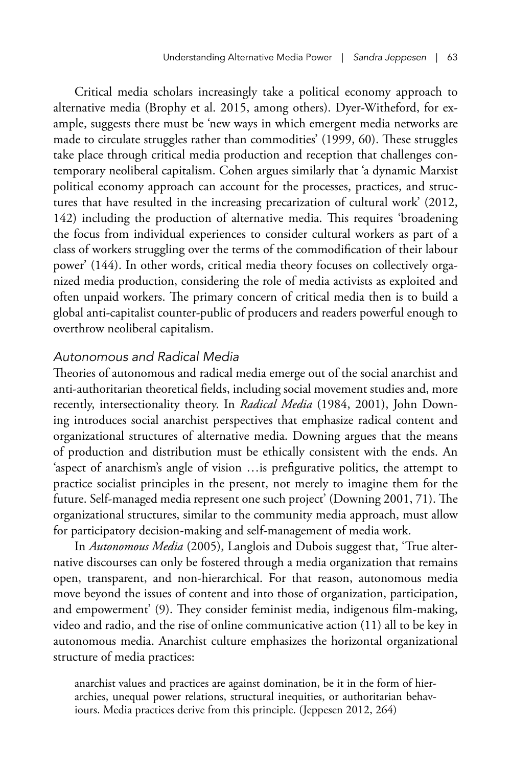Critical media scholars increasingly take a political economy approach to alternative media (Brophy et al. 2015, among others). Dyer-Witheford, for example, suggests there must be 'new ways in which emergent media networks are made to circulate struggles rather than commodities' (1999, 60). These struggles take place through critical media production and reception that challenges contemporary neoliberal capitalism. Cohen argues similarly that 'a dynamic Marxist political economy approach can account for the processes, practices, and structures that have resulted in the increasing precarization of cultural work' (2012, 142) including the production of alternative media. This requires 'broadening the focus from individual experiences to consider cultural workers as part of a class of workers struggling over the terms of the commodification of their labour power' (144). In other words, critical media theory focuses on collectively organized media production, considering the role of media activists as exploited and often unpaid workers. The primary concern of critical media then is to build a global anti-capitalist counter-public of producers and readers powerful enough to overthrow neoliberal capitalism.

#### *Autonomous and Radical Media*

Theories of autonomous and radical media emerge out of the social anarchist and anti-authoritarian theoretical fields, including social movement studies and, more recently, intersectionality theory. In *Radical Media* (1984, 2001), John Downing introduces social anarchist perspectives that emphasize radical content and organizational structures of alternative media. Downing argues that the means of production and distribution must be ethically consistent with the ends. An 'aspect of anarchism's angle of vision …is prefigurative politics, the attempt to practice socialist principles in the present, not merely to imagine them for the future. Self-managed media represent one such project' (Downing 2001, 71). The organizational structures, similar to the community media approach, must allow for participatory decision-making and self-management of media work.

In *Autonomous Media* (2005), Langlois and Dubois suggest that, 'True alternative discourses can only be fostered through a media organization that remains open, transparent, and non-hierarchical. For that reason, autonomous media move beyond the issues of content and into those of organization, participation, and empowerment' (9). They consider feminist media, indigenous film-making, video and radio, and the rise of online communicative action (11) all to be key in autonomous media. Anarchist culture emphasizes the horizontal organizational structure of media practices:

anarchist values and practices are against domination, be it in the form of hierarchies, unequal power relations, structural inequities, or authoritarian behaviours. Media practices derive from this principle. (Jeppesen 2012, 264)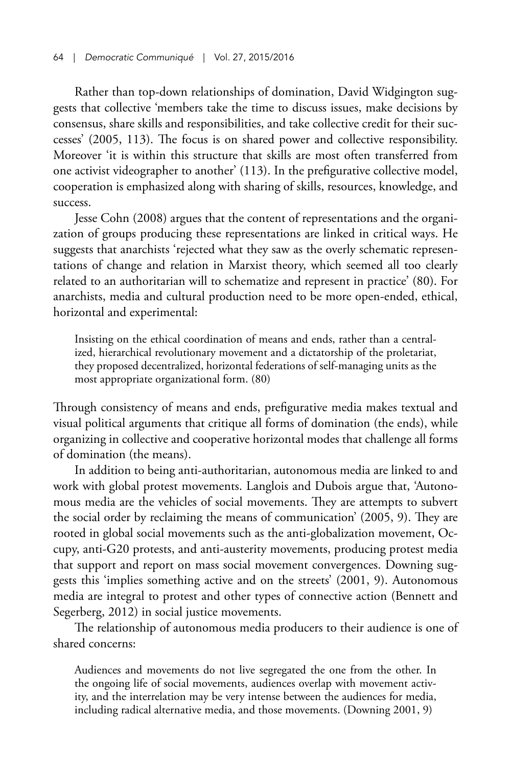Rather than top-down relationships of domination, David Widgington suggests that collective 'members take the time to discuss issues, make decisions by consensus, share skills and responsibilities, and take collective credit for their successes' (2005, 113). The focus is on shared power and collective responsibility. Moreover 'it is within this structure that skills are most often transferred from one activist videographer to another' (113). In the prefigurative collective model, cooperation is emphasized along with sharing of skills, resources, knowledge, and success.

Jesse Cohn (2008) argues that the content of representations and the organization of groups producing these representations are linked in critical ways. He suggests that anarchists 'rejected what they saw as the overly schematic representations of change and relation in Marxist theory, which seemed all too clearly related to an authoritarian will to schematize and represent in practice' (80). For anarchists, media and cultural production need to be more open-ended, ethical, horizontal and experimental:

Insisting on the ethical coordination of means and ends, rather than a centralized, hierarchical revolutionary movement and a dictatorship of the proletariat, they proposed decentralized, horizontal federations of self-managing units as the most appropriate organizational form. (80)

Through consistency of means and ends, prefigurative media makes textual and visual political arguments that critique all forms of domination (the ends), while organizing in collective and cooperative horizontal modes that challenge all forms of domination (the means).

In addition to being anti-authoritarian, autonomous media are linked to and work with global protest movements. Langlois and Dubois argue that, 'Autonomous media are the vehicles of social movements. They are attempts to subvert the social order by reclaiming the means of communication' (2005, 9). They are rooted in global social movements such as the anti-globalization movement, Occupy, anti-G20 protests, and anti-austerity movements, producing protest media that support and report on mass social movement convergences. Downing suggests this 'implies something active and on the streets' (2001, 9). Autonomous media are integral to protest and other types of connective action (Bennett and Segerberg, 2012) in social justice movements.

The relationship of autonomous media producers to their audience is one of shared concerns:

Audiences and movements do not live segregated the one from the other. In the ongoing life of social movements, audiences overlap with movement activity, and the interrelation may be very intense between the audiences for media, including radical alternative media, and those movements. (Downing 2001, 9)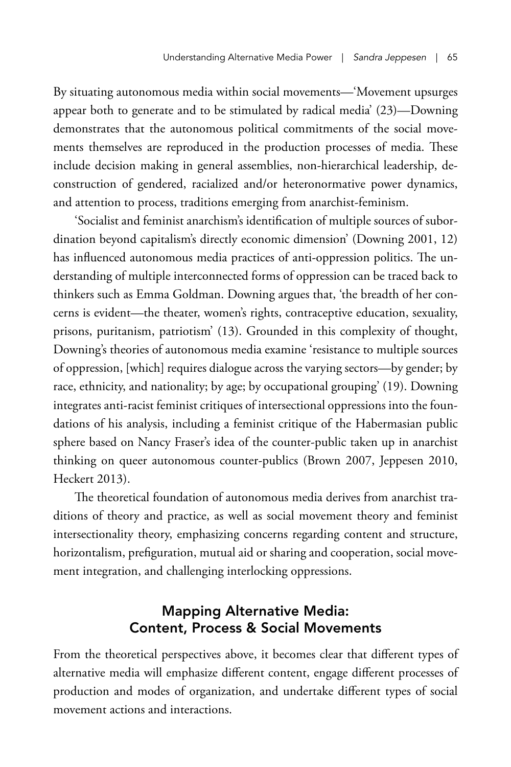By situating autonomous media within social movements—'Movement upsurges appear both to generate and to be stimulated by radical media' (23)—Downing demonstrates that the autonomous political commitments of the social movements themselves are reproduced in the production processes of media. These include decision making in general assemblies, non-hierarchical leadership, deconstruction of gendered, racialized and/or heteronormative power dynamics, and attention to process, traditions emerging from anarchist-feminism.

'Socialist and feminist anarchism's identification of multiple sources of subordination beyond capitalism's directly economic dimension' (Downing 2001, 12) has influenced autonomous media practices of anti-oppression politics. The understanding of multiple interconnected forms of oppression can be traced back to thinkers such as Emma Goldman. Downing argues that, 'the breadth of her concerns is evident—the theater, women's rights, contraceptive education, sexuality, prisons, puritanism, patriotism' (13). Grounded in this complexity of thought, Downing's theories of autonomous media examine 'resistance to multiple sources of oppression, [which] requires dialogue across the varying sectors—by gender; by race, ethnicity, and nationality; by age; by occupational grouping' (19). Downing integrates anti-racist feminist critiques of intersectional oppressions into the foundations of his analysis, including a feminist critique of the Habermasian public sphere based on Nancy Fraser's idea of the counter-public taken up in anarchist thinking on queer autonomous counter-publics (Brown 2007, Jeppesen 2010, Heckert 2013).

The theoretical foundation of autonomous media derives from anarchist traditions of theory and practice, as well as social movement theory and feminist intersectionality theory, emphasizing concerns regarding content and structure, horizontalism, prefiguration, mutual aid or sharing and cooperation, social movement integration, and challenging interlocking oppressions.

# Mapping Alternative Media: Content, Process & Social Movements

From the theoretical perspectives above, it becomes clear that different types of alternative media will emphasize different content, engage different processes of production and modes of organization, and undertake different types of social movement actions and interactions.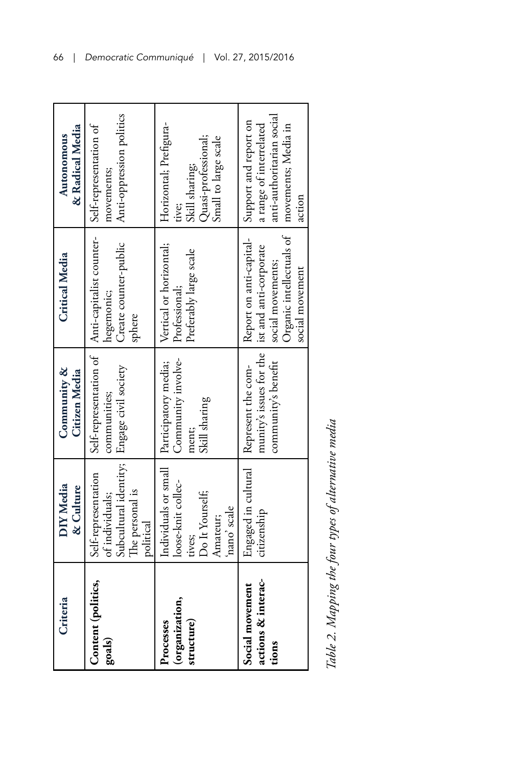| Criteria                                       | DIY Media<br>& Culture                                                                                               | Community &<br>Citizen Media                                                                | <b>Critical Media</b>                                                                                                 | & Radical Media<br>Autonomous                                                                                  |
|------------------------------------------------|----------------------------------------------------------------------------------------------------------------------|---------------------------------------------------------------------------------------------|-----------------------------------------------------------------------------------------------------------------------|----------------------------------------------------------------------------------------------------------------|
| Content (politics,<br>goals)                   | Subcultural identity; Engage civil society<br>Self-representation<br>The personal is<br>of individuals;<br>political | Self-representation of<br>communities;                                                      | Anti-capitalist counter-<br>Create counter-public<br>hegemonic;<br>sphere                                             | Anti-oppression politics<br>Self-representation of<br>movements;                                               |
| (organization,<br>structure)<br>Processes      | loose-knit collec-<br>Do It Yourself;<br>nano' scale<br>Amateur;<br>tives;                                           | Community involve-<br>Individuals or small   Participatory media;<br>Skill sharing<br>ment; | Vertical or horizontal;<br>Preferably large scale<br>Professional;                                                    | Horizontal; Prehgura-<br>Quasi-professional;<br>Small to large scale<br>Skill sharing;<br>tive;                |
| actions & interac-<br>Social movement<br>tions | Engaged in cultural<br>citizenship                                                                                   | munity's issues for the<br>community's benefit<br>Represent the com-                        | Organic intellectuals of<br>Report on anti-capital-<br>ist and anti-corporate<br>social movements;<br>social movement | anti-authoritarian social<br>Support and report on<br>a range of interrelated<br>movements; Media in<br>action |

Table 2. Mapping the four types of alternative media *Table 2. Mapping the four types of alternative media*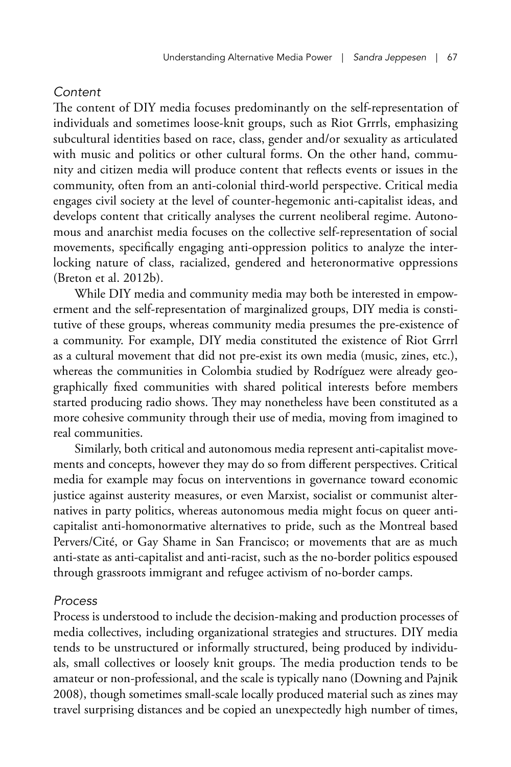## *Content*

The content of DIY media focuses predominantly on the self-representation of individuals and sometimes loose-knit groups, such as Riot Grrrls, emphasizing subcultural identities based on race, class, gender and/or sexuality as articulated with music and politics or other cultural forms. On the other hand, community and citizen media will produce content that reflects events or issues in the community, often from an anti-colonial third-world perspective. Critical media engages civil society at the level of counter-hegemonic anti-capitalist ideas, and develops content that critically analyses the current neoliberal regime. Autonomous and anarchist media focuses on the collective self-representation of social movements, specifically engaging anti-oppression politics to analyze the interlocking nature of class, racialized, gendered and heteronormative oppressions (Breton et al. 2012b).

While DIY media and community media may both be interested in empowerment and the self-representation of marginalized groups, DIY media is constitutive of these groups, whereas community media presumes the pre-existence of a community. For example, DIY media constituted the existence of Riot Grrrl as a cultural movement that did not pre-exist its own media (music, zines, etc.), whereas the communities in Colombia studied by Rodríguez were already geographically fixed communities with shared political interests before members started producing radio shows. They may nonetheless have been constituted as a more cohesive community through their use of media, moving from imagined to real communities.

Similarly, both critical and autonomous media represent anti-capitalist movements and concepts, however they may do so from different perspectives. Critical media for example may focus on interventions in governance toward economic justice against austerity measures, or even Marxist, socialist or communist alternatives in party politics, whereas autonomous media might focus on queer anticapitalist anti-homonormative alternatives to pride, such as the Montreal based Pervers/Cité, or Gay Shame in San Francisco; or movements that are as much anti-state as anti-capitalist and anti-racist, such as the no-border politics espoused through grassroots immigrant and refugee activism of no-border camps.

## *Process*

Process is understood to include the decision-making and production processes of media collectives, including organizational strategies and structures. DIY media tends to be unstructured or informally structured, being produced by individuals, small collectives or loosely knit groups. The media production tends to be amateur or non-professional, and the scale is typically nano (Downing and Pajnik 2008), though sometimes small-scale locally produced material such as zines may travel surprising distances and be copied an unexpectedly high number of times,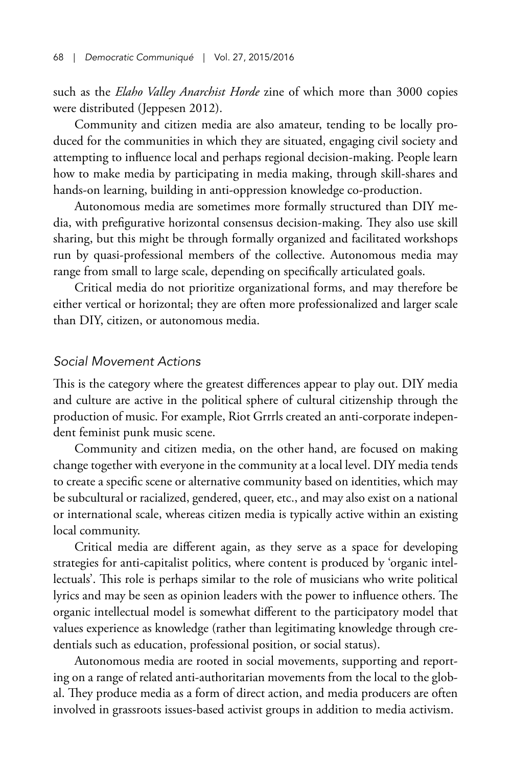such as the *Elaho Valley Anarchist Horde* zine of which more than 3000 copies were distributed (Jeppesen 2012).

Community and citizen media are also amateur, tending to be locally produced for the communities in which they are situated, engaging civil society and attempting to influence local and perhaps regional decision-making. People learn how to make media by participating in media making, through skill-shares and hands-on learning, building in anti-oppression knowledge co-production.

Autonomous media are sometimes more formally structured than DIY media, with prefigurative horizontal consensus decision-making. They also use skill sharing, but this might be through formally organized and facilitated workshops run by quasi-professional members of the collective. Autonomous media may range from small to large scale, depending on specifically articulated goals.

Critical media do not prioritize organizational forms, and may therefore be either vertical or horizontal; they are often more professionalized and larger scale than DIY, citizen, or autonomous media.

#### *Social Movement Actions*

This is the category where the greatest differences appear to play out. DIY media and culture are active in the political sphere of cultural citizenship through the production of music. For example, Riot Grrrls created an anti-corporate independent feminist punk music scene.

Community and citizen media, on the other hand, are focused on making change together with everyone in the community at a local level. DIY media tends to create a specific scene or alternative community based on identities, which may be subcultural or racialized, gendered, queer, etc., and may also exist on a national or international scale, whereas citizen media is typically active within an existing local community.

Critical media are different again, as they serve as a space for developing strategies for anti-capitalist politics, where content is produced by 'organic intellectuals'. This role is perhaps similar to the role of musicians who write political lyrics and may be seen as opinion leaders with the power to influence others. The organic intellectual model is somewhat different to the participatory model that values experience as knowledge (rather than legitimating knowledge through credentials such as education, professional position, or social status).

Autonomous media are rooted in social movements, supporting and reporting on a range of related anti-authoritarian movements from the local to the global. They produce media as a form of direct action, and media producers are often involved in grassroots issues-based activist groups in addition to media activism.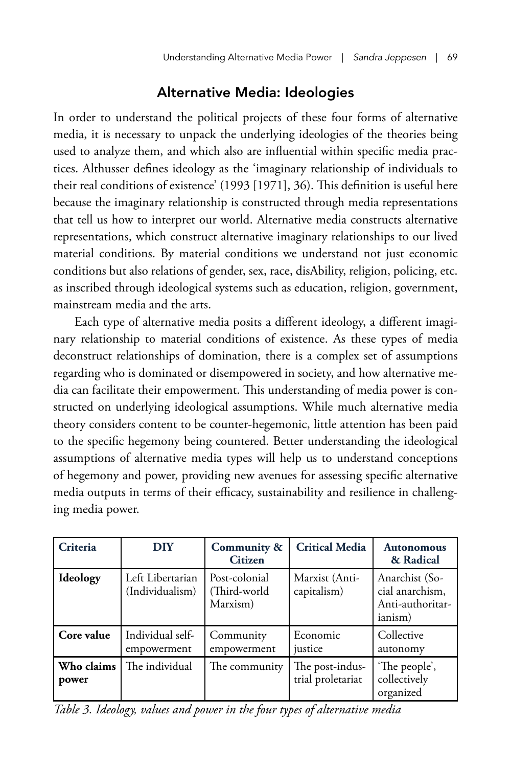# Alternative Media: Ideologies

In order to understand the political projects of these four forms of alternative media, it is necessary to unpack the underlying ideologies of the theories being used to analyze them, and which also are influential within specific media practices. Althusser defines ideology as the 'imaginary relationship of individuals to their real conditions of existence' (1993 [1971], 36). This definition is useful here because the imaginary relationship is constructed through media representations that tell us how to interpret our world. Alternative media constructs alternative representations, which construct alternative imaginary relationships to our lived material conditions. By material conditions we understand not just economic conditions but also relations of gender, sex, race, disAbility, religion, policing, etc. as inscribed through ideological systems such as education, religion, government, mainstream media and the arts.

Each type of alternative media posits a different ideology, a different imaginary relationship to material conditions of existence. As these types of media deconstruct relationships of domination, there is a complex set of assumptions regarding who is dominated or disempowered in society, and how alternative media can facilitate their empowerment. This understanding of media power is constructed on underlying ideological assumptions. While much alternative media theory considers content to be counter-hegemonic, little attention has been paid to the specific hegemony being countered. Better understanding the ideological assumptions of alternative media types will help us to understand conceptions of hegemony and power, providing new avenues for assessing specific alternative media outputs in terms of their efficacy, sustainability and resilience in challenging media power.

| Criteria            | <b>DIY</b>                          | Community &<br><b>Citizen</b>             | <b>Critical Media</b>                | <b>Autonomous</b><br>& Radical                                   |
|---------------------|-------------------------------------|-------------------------------------------|--------------------------------------|------------------------------------------------------------------|
| Ideology            | Left Libertarian<br>(Individualism) | Post-colonial<br>(Third-world<br>Marxism) | Marxist (Anti-<br>capitalism)        | Anarchist (So-<br>cial anarchism,<br>Anti-authoritar-<br>ianism) |
| Core value          | Individual self-<br>empowerment     | Community<br>empowerment                  | Economic<br>justice                  | Collective<br>autonomy                                           |
| Who claims<br>power | The individual                      | The community                             | The post-indus-<br>trial proletariat | 'The people',<br>collectively<br>organized                       |

*Table 3. Ideology, values and power in the four types of alternative media*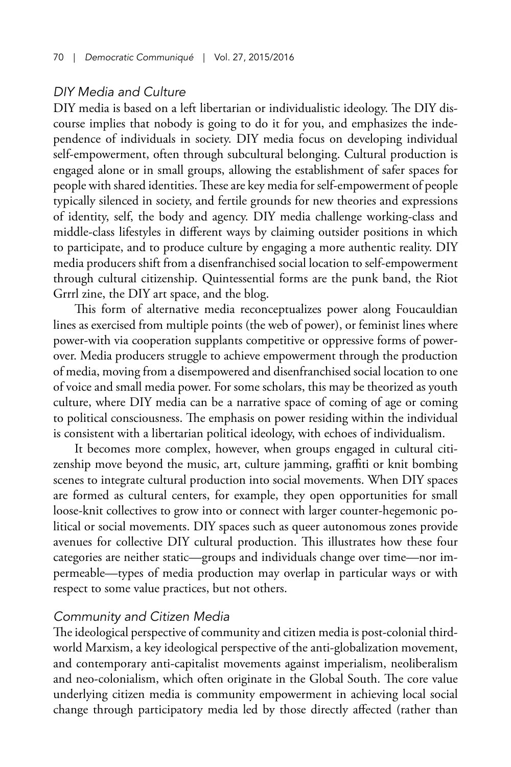## *DIY Media and Culture*

DIY media is based on a left libertarian or individualistic ideology. The DIY discourse implies that nobody is going to do it for you, and emphasizes the independence of individuals in society. DIY media focus on developing individual self-empowerment, often through subcultural belonging. Cultural production is engaged alone or in small groups, allowing the establishment of safer spaces for people with shared identities. These are key media for self-empowerment of people typically silenced in society, and fertile grounds for new theories and expressions of identity, self, the body and agency. DIY media challenge working-class and middle-class lifestyles in different ways by claiming outsider positions in which to participate, and to produce culture by engaging a more authentic reality. DIY media producers shift from a disenfranchised social location to self-empowerment through cultural citizenship. Quintessential forms are the punk band, the Riot Grrrl zine, the DIY art space, and the blog.

This form of alternative media reconceptualizes power along Foucauldian lines as exercised from multiple points (the web of power), or feminist lines where power-with via cooperation supplants competitive or oppressive forms of powerover. Media producers struggle to achieve empowerment through the production of media, moving from a disempowered and disenfranchised social location to one of voice and small media power. For some scholars, this may be theorized as youth culture, where DIY media can be a narrative space of coming of age or coming to political consciousness. The emphasis on power residing within the individual is consistent with a libertarian political ideology, with echoes of individualism.

It becomes more complex, however, when groups engaged in cultural citizenship move beyond the music, art, culture jamming, graffiti or knit bombing scenes to integrate cultural production into social movements. When DIY spaces are formed as cultural centers, for example, they open opportunities for small loose-knit collectives to grow into or connect with larger counter-hegemonic political or social movements. DIY spaces such as queer autonomous zones provide avenues for collective DIY cultural production. This illustrates how these four categories are neither static—groups and individuals change over time—nor impermeable—types of media production may overlap in particular ways or with respect to some value practices, but not others.

## *Community and Citizen Media*

The ideological perspective of community and citizen media is post-colonial thirdworld Marxism, a key ideological perspective of the anti-globalization movement, and contemporary anti-capitalist movements against imperialism, neoliberalism and neo-colonialism, which often originate in the Global South. The core value underlying citizen media is community empowerment in achieving local social change through participatory media led by those directly affected (rather than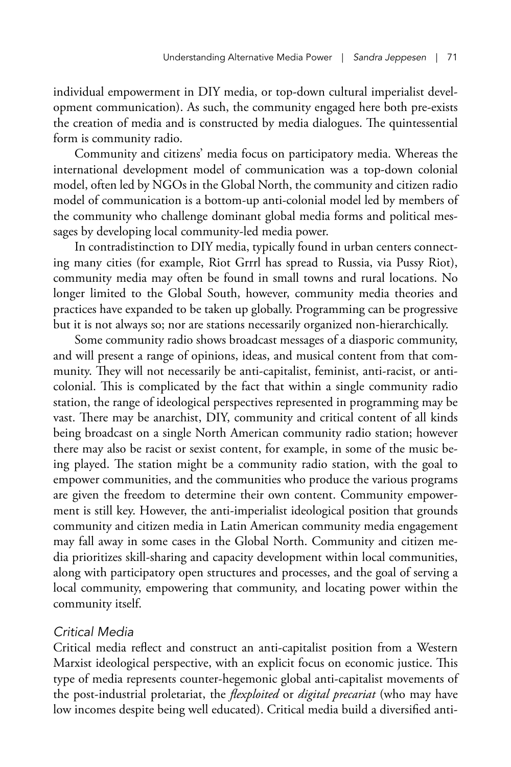individual empowerment in DIY media, or top-down cultural imperialist development communication). As such, the community engaged here both pre-exists the creation of media and is constructed by media dialogues. The quintessential form is community radio.

Community and citizens' media focus on participatory media. Whereas the international development model of communication was a top-down colonial model, often led by NGOs in the Global North, the community and citizen radio model of communication is a bottom-up anti-colonial model led by members of the community who challenge dominant global media forms and political messages by developing local community-led media power.

In contradistinction to DIY media, typically found in urban centers connecting many cities (for example, Riot Grrrl has spread to Russia, via Pussy Riot), community media may often be found in small towns and rural locations. No longer limited to the Global South, however, community media theories and practices have expanded to be taken up globally. Programming can be progressive but it is not always so; nor are stations necessarily organized non-hierarchically.

Some community radio shows broadcast messages of a diasporic community, and will present a range of opinions, ideas, and musical content from that community. They will not necessarily be anti-capitalist, feminist, anti-racist, or anticolonial. This is complicated by the fact that within a single community radio station, the range of ideological perspectives represented in programming may be vast. There may be anarchist, DIY, community and critical content of all kinds being broadcast on a single North American community radio station; however there may also be racist or sexist content, for example, in some of the music being played. The station might be a community radio station, with the goal to empower communities, and the communities who produce the various programs are given the freedom to determine their own content. Community empowerment is still key. However, the anti-imperialist ideological position that grounds community and citizen media in Latin American community media engagement may fall away in some cases in the Global North. Community and citizen media prioritizes skill-sharing and capacity development within local communities, along with participatory open structures and processes, and the goal of serving a local community, empowering that community, and locating power within the community itself.

## *Critical Media*

Critical media reflect and construct an anti-capitalist position from a Western Marxist ideological perspective, with an explicit focus on economic justice. This type of media represents counter-hegemonic global anti-capitalist movements of the post-industrial proletariat, the *flexploited* or *digital precariat* (who may have low incomes despite being well educated). Critical media build a diversified anti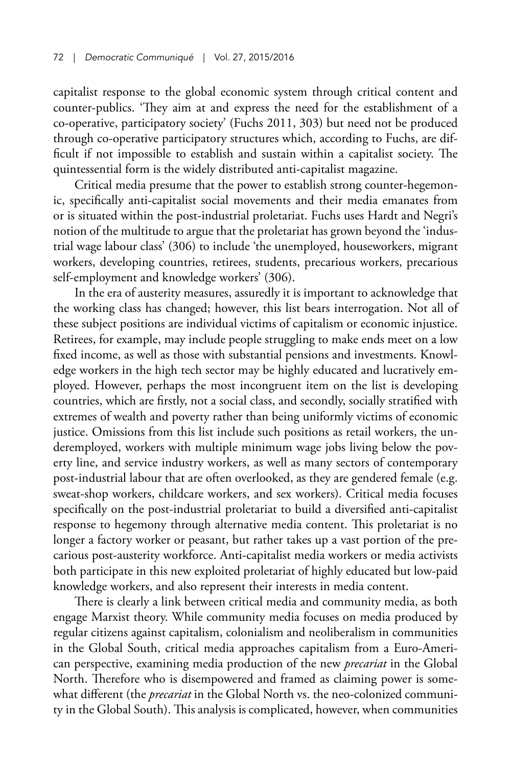capitalist response to the global economic system through critical content and counter-publics. 'They aim at and express the need for the establishment of a co-operative, participatory society' (Fuchs 2011, 303) but need not be produced through co-operative participatory structures which, according to Fuchs, are difficult if not impossible to establish and sustain within a capitalist society. The quintessential form is the widely distributed anti-capitalist magazine.

Critical media presume that the power to establish strong counter-hegemonic, specifically anti-capitalist social movements and their media emanates from or is situated within the post-industrial proletariat. Fuchs uses Hardt and Negri's notion of the multitude to argue that the proletariat has grown beyond the 'industrial wage labour class' (306) to include 'the unemployed, houseworkers, migrant workers, developing countries, retirees, students, precarious workers, precarious self-employment and knowledge workers' (306).

In the era of austerity measures, assuredly it is important to acknowledge that the working class has changed; however, this list bears interrogation. Not all of these subject positions are individual victims of capitalism or economic injustice. Retirees, for example, may include people struggling to make ends meet on a low fixed income, as well as those with substantial pensions and investments. Knowledge workers in the high tech sector may be highly educated and lucratively employed. However, perhaps the most incongruent item on the list is developing countries, which are firstly, not a social class, and secondly, socially stratified with extremes of wealth and poverty rather than being uniformly victims of economic justice. Omissions from this list include such positions as retail workers, the underemployed, workers with multiple minimum wage jobs living below the poverty line, and service industry workers, as well as many sectors of contemporary post-industrial labour that are often overlooked, as they are gendered female (e.g. sweat-shop workers, childcare workers, and sex workers). Critical media focuses specifically on the post-industrial proletariat to build a diversified anti-capitalist response to hegemony through alternative media content. This proletariat is no longer a factory worker or peasant, but rather takes up a vast portion of the precarious post-austerity workforce. Anti-capitalist media workers or media activists both participate in this new exploited proletariat of highly educated but low-paid knowledge workers, and also represent their interests in media content.

There is clearly a link between critical media and community media, as both engage Marxist theory. While community media focuses on media produced by regular citizens against capitalism, colonialism and neoliberalism in communities in the Global South, critical media approaches capitalism from a Euro-American perspective, examining media production of the new *precariat* in the Global North. Therefore who is disempowered and framed as claiming power is somewhat different (the *precariat* in the Global North vs. the neo-colonized community in the Global South). This analysis is complicated, however, when communities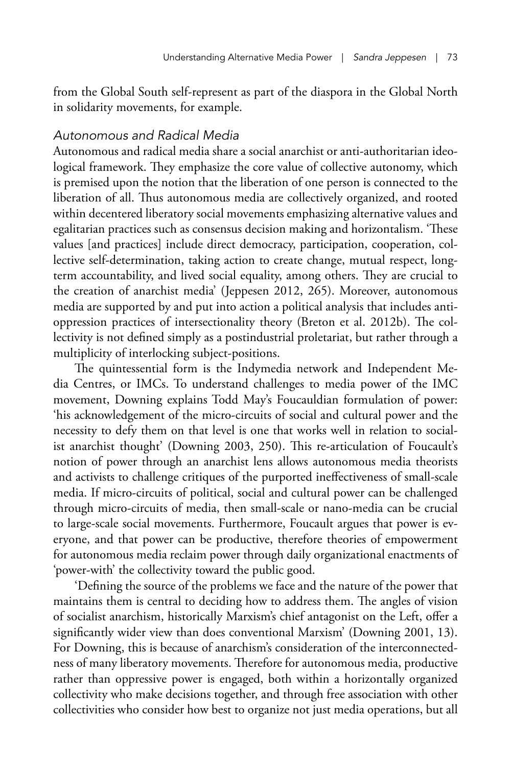from the Global South self-represent as part of the diaspora in the Global North in solidarity movements, for example.

#### *Autonomous and Radical Media*

Autonomous and radical media share a social anarchist or anti-authoritarian ideological framework. They emphasize the core value of collective autonomy, which is premised upon the notion that the liberation of one person is connected to the liberation of all. Thus autonomous media are collectively organized, and rooted within decentered liberatory social movements emphasizing alternative values and egalitarian practices such as consensus decision making and horizontalism. 'These values [and practices] include direct democracy, participation, cooperation, collective self-determination, taking action to create change, mutual respect, longterm accountability, and lived social equality, among others. They are crucial to the creation of anarchist media' (Jeppesen 2012, 265). Moreover, autonomous media are supported by and put into action a political analysis that includes antioppression practices of intersectionality theory (Breton et al. 2012b). The collectivity is not defined simply as a postindustrial proletariat, but rather through a multiplicity of interlocking subject-positions.

The quintessential form is the Indymedia network and Independent Media Centres, or IMCs. To understand challenges to media power of the IMC movement, Downing explains Todd May's Foucauldian formulation of power: 'his acknowledgement of the micro-circuits of social and cultural power and the necessity to defy them on that level is one that works well in relation to socialist anarchist thought' (Downing 2003, 250). This re-articulation of Foucault's notion of power through an anarchist lens allows autonomous media theorists and activists to challenge critiques of the purported ineffectiveness of small-scale media. If micro-circuits of political, social and cultural power can be challenged through micro-circuits of media, then small-scale or nano-media can be crucial to large-scale social movements. Furthermore, Foucault argues that power is everyone, and that power can be productive, therefore theories of empowerment for autonomous media reclaim power through daily organizational enactments of 'power-with' the collectivity toward the public good.

'Defining the source of the problems we face and the nature of the power that maintains them is central to deciding how to address them. The angles of vision of socialist anarchism, historically Marxism's chief antagonist on the Left, offer a significantly wider view than does conventional Marxism' (Downing 2001, 13). For Downing, this is because of anarchism's consideration of the interconnectedness of many liberatory movements. Therefore for autonomous media, productive rather than oppressive power is engaged, both within a horizontally organized collectivity who make decisions together, and through free association with other collectivities who consider how best to organize not just media operations, but all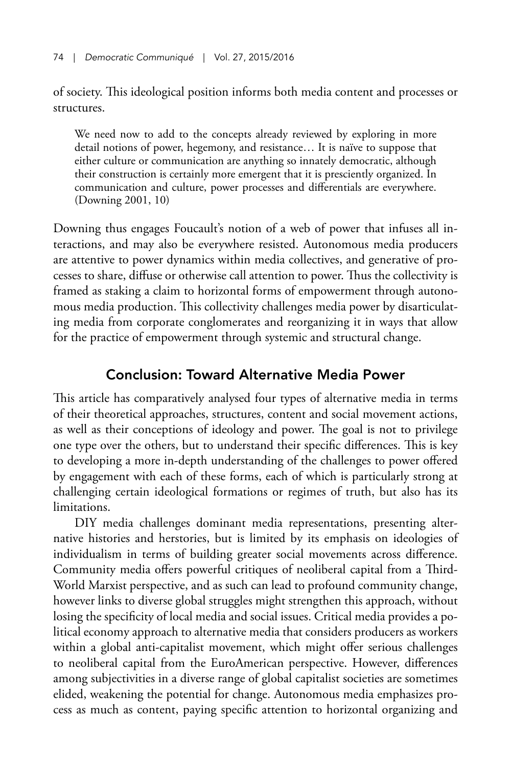of society. This ideological position informs both media content and processes or structures.

We need now to add to the concepts already reviewed by exploring in more detail notions of power, hegemony, and resistance… It is naïve to suppose that either culture or communication are anything so innately democratic, although their construction is certainly more emergent that it is presciently organized. In communication and culture, power processes and differentials are everywhere. (Downing 2001, 10)

Downing thus engages Foucault's notion of a web of power that infuses all interactions, and may also be everywhere resisted. Autonomous media producers are attentive to power dynamics within media collectives, and generative of processes to share, diffuse or otherwise call attention to power. Thus the collectivity is framed as staking a claim to horizontal forms of empowerment through autonomous media production. This collectivity challenges media power by disarticulating media from corporate conglomerates and reorganizing it in ways that allow for the practice of empowerment through systemic and structural change.

# Conclusion: Toward Alternative Media Power

This article has comparatively analysed four types of alternative media in terms of their theoretical approaches, structures, content and social movement actions, as well as their conceptions of ideology and power. The goal is not to privilege one type over the others, but to understand their specific differences. This is key to developing a more in-depth understanding of the challenges to power offered by engagement with each of these forms, each of which is particularly strong at challenging certain ideological formations or regimes of truth, but also has its limitations.

DIY media challenges dominant media representations, presenting alternative histories and herstories, but is limited by its emphasis on ideologies of individualism in terms of building greater social movements across difference. Community media offers powerful critiques of neoliberal capital from a Third-World Marxist perspective, and as such can lead to profound community change, however links to diverse global struggles might strengthen this approach, without losing the specificity of local media and social issues. Critical media provides a political economy approach to alternative media that considers producers as workers within a global anti-capitalist movement, which might offer serious challenges to neoliberal capital from the EuroAmerican perspective. However, differences among subjectivities in a diverse range of global capitalist societies are sometimes elided, weakening the potential for change. Autonomous media emphasizes process as much as content, paying specific attention to horizontal organizing and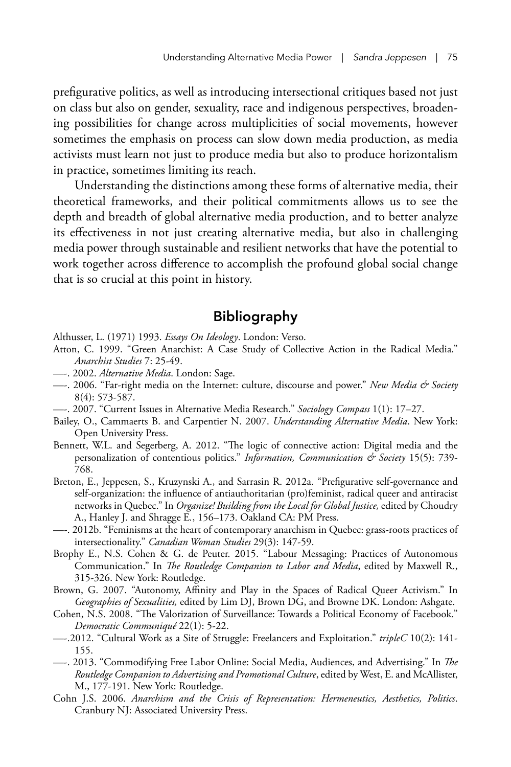prefigurative politics, as well as introducing intersectional critiques based not just on class but also on gender, sexuality, race and indigenous perspectives, broadening possibilities for change across multiplicities of social movements, however sometimes the emphasis on process can slow down media production, as media activists must learn not just to produce media but also to produce horizontalism in practice, sometimes limiting its reach.

Understanding the distinctions among these forms of alternative media, their theoretical frameworks, and their political commitments allows us to see the depth and breadth of global alternative media production, and to better analyze its effectiveness in not just creating alternative media, but also in challenging media power through sustainable and resilient networks that have the potential to work together across difference to accomplish the profound global social change that is so crucial at this point in history.

# Bibliography

- Althusser, L. (1971) 1993. *Essays On Ideology*. London: Verso.
- Atton, C. 1999. "Green Anarchist: A Case Study of Collective Action in the Radical Media." *Anarchist Studies* 7: 25-49.
- —-. 2002. *Alternative Media*. London: Sage.
- —-. 2006. "Far-right media on the Internet: culture, discourse and power." *New Media & Society* 8(4): 573-587.
- —-. 2007. "Current Issues in Alternative Media Research." *Sociology Compass* 1(1): 17–27.
- Bailey, O., Cammaerts B. and Carpentier N. 2007. *Understanding Alternative Media*. New York: Open University Press.
- Bennett, W.L. and Segerberg, A. 2012. "The logic of connective action: Digital media and the personalization of contentious politics." *Information, Communication & Society* 15(5): 739- 768.
- Breton, E., Jeppesen, S., Kruzynski A., and Sarrasin R. 2012a. "Prefigurative self-governance and self-organization: the influence of antiauthoritarian (pro)feminist, radical queer and antiracist networks in Quebec." In *Organize! Building from the Local for Global Justice,* edited by Choudry A., Hanley J. and Shragge E*.*, 156–173. Oakland CA: PM Press.
- —-. 2012b. "Feminisms at the heart of contemporary anarchism in Quebec: grass-roots practices of intersectionality." *Canadian Woman Studies* 29(3): 147-59.
- Brophy E., N.S. Cohen & G. de Peuter. 2015. "Labour Messaging: Practices of Autonomous Communication." In *The Routledge Companion to Labor and Media*, edited by Maxwell R., 315-326. New York: Routledge.
- Brown, G. 2007. "Autonomy, Affinity and Play in the Spaces of Radical Queer Activism." In *Geographies of Sexualities,* edited by Lim DJ, Brown DG, and Browne DK. London: Ashgate.
- Cohen, N.S. 2008. "The Valorization of Surveillance: Towards a Political Economy of Facebook." *Democratic Communiqué* 22(1): 5-22.
- —-.2012. "Cultural Work as a Site of Struggle: Freelancers and Exploitation." *tripleC* 10(2): 141- 155.
- —-. 2013. "Commodifying Free Labor Online: Social Media, Audiences, and Advertising." In *The Routledge Companion to Advertising and Promotional Culture*, edited by West, E. and McAllister, M., 177-191. New York: Routledge.
- Cohn J.S. 2006. *Anarchism and the Crisis of Representation: Hermeneutics, Aesthetics, Politics*. Cranbury NJ: Associated University Press.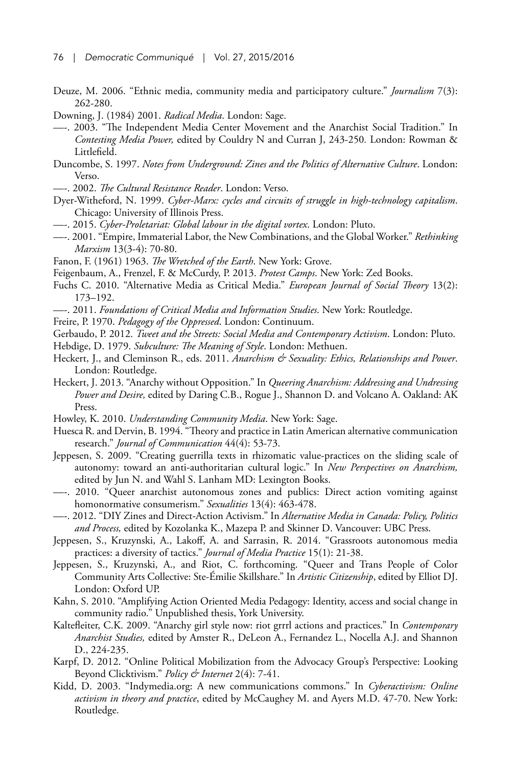- Deuze, M. 2006. "Ethnic media, community media and participatory culture." *Journalism* 7(3): 262-280.
- Downing, J. (1984) 2001. *Radical Media*. London: Sage.
- —-. 2003. "The Independent Media Center Movement and the Anarchist Social Tradition." In *Contesting Media Power,* edited by Couldry N and Curran J, 243-250*.* London: Rowman & Littlefield.
- Duncombe, S. 1997. *Notes from Underground: Zines and the Politics of Alternative Culture*. London: Verso.
- —-. 2002. *The Cultural Resistance Reader*. London: Verso.
- Dyer-Witheford, N. 1999. *Cyber-Marx: cycles and circuits of struggle in high-technology capitalism*. Chicago: University of Illinois Press.
- —-. 2015. *Cyber-Proletariat: Global labour in the digital vortex*. London: Pluto.
- —-. 2001. "Empire, Immaterial Labor, the New Combinations, and the Global Worker." *Rethinking Marxism* 13(3-4): 70-80.
- Fanon, F. (1961) 1963. *The Wretched of the Earth*. New York: Grove.
- Feigenbaum, A., Frenzel, F. & McCurdy, P. 2013. *Protest Camps*. New York: Zed Books.
- Fuchs C. 2010. "Alternative Media as Critical Media." *European Journal of Social Theory* 13(2): 173–192.
- —-. 2011. *Foundations of Critical Media and Information Studies*. New York: Routledge.
- Freire, P. 1970. *Pedagogy of the Oppressed*. London: Continuum.
- Gerbaudo, P. 2012. *Tweet and the Streets: Social Media and Contemporary Activism*. London: Pluto.
- Hebdige, D. 1979. *Subculture: The Meaning of Style*. London: Methuen.
- Heckert, J., and Cleminson R., eds. 2011. *Anarchism & Sexuality: Ethics, Relationships and Power*. London: Routledge.
- Heckert, J. 2013. "Anarchy without Opposition." In *Queering Anarchism: Addressing and Undressing Power and Desire,* edited by Daring C.B., Rogue J., Shannon D. and Volcano A. Oakland: AK Press.
- Howley, K. 2010. *Understanding Community Media*. New York: Sage.
- Huesca R. and Dervin, B. 1994. "Theory and practice in Latin American alternative communication research." *Journal of Communication* 44(4): 53-73.
- Jeppesen, S. 2009. "Creating guerrilla texts in rhizomatic value-practices on the sliding scale of autonomy: toward an anti-authoritarian cultural logic." In *New Perspectives on Anarchism,*  edited by Jun N. and Wahl S. Lanham MD: Lexington Books.
- —-. 2010. "Queer anarchist autonomous zones and publics: Direct action vomiting against homonormative consumerism." *Sexualities* 13(4): 463-478.
- —-. 2012. "DIY Zines and Direct-Action Activism." In *Alternative Media in Canada: Policy, Politics and Process,* edited by Kozolanka K., Mazepa P. and Skinner D. Vancouver: UBC Press.
- Jeppesen, S., Kruzynski, A., Lakoff, A. and Sarrasin, R. 2014. "Grassroots autonomous media practices: a diversity of tactics." *Journal of Media Practice* 15(1): 21-38.
- Jeppesen, S., Kruzynski, A., and Riot, C. forthcoming. "Queer and Trans People of Color Community Arts Collective: Ste-Émilie Skillshare." In *Artistic Citizenship*, edited by Elliot DJ. London: Oxford UP.
- Kahn, S. 2010. "Amplifying Action Oriented Media Pedagogy: Identity, access and social change in community radio." Unpublished thesis, York University.
- Kaltefleiter, C.K. 2009. "Anarchy girl style now: riot grrrl actions and practices." In *Contemporary Anarchist Studies,* edited by Amster R., DeLeon A., Fernandez L., Nocella A.J. and Shannon D., 224-235.
- Karpf, D. 2012. "Online Political Mobilization from the Advocacy Group's Perspective: Looking Beyond Clicktivism." *Policy & Internet* 2(4): 7-41.
- Kidd, D. 2003. "Indymedia.org: A new communications commons." In *Cyberactivism: Online activism in theory and practice*, edited by McCaughey M. and Ayers M.D. 47-70. New York: Routledge.